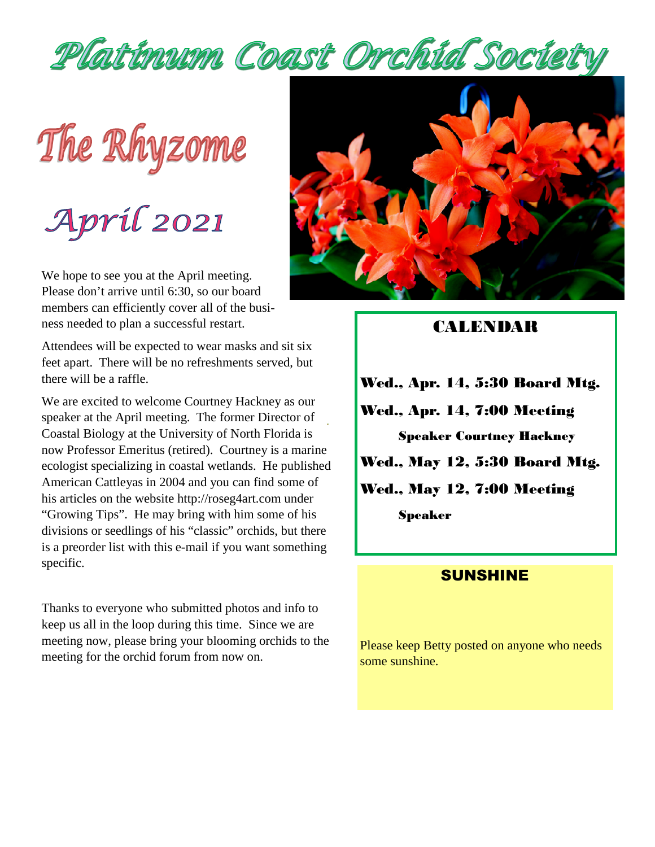

The Rhyzome

April 2021

We hope to see you at the April meeting. Please don't arrive until 6:30, so our board members can efficiently cover all of the business needed to plan a successful restart.

Attendees will be expected to wear masks and sit six feet apart. There will be no refreshments served, but there will be a raffle.

We are excited to welcome Courtney Hackney as our speaker at the April meeting. The former Director of Coastal Biology at the University of North Florida is now Professor Emeritus (retired). Courtney is a marine ecologist specializing in coastal wetlands. He published American Cattleyas in 2004 and you can find some of his articles on the website http://roseg4art.com under "Growing Tips". He may bring with him some of his divisions or seedlings of his "classic" orchids, but there is a preorder list with this e-mail if you want something specific.

Thanks to everyone who submitted photos and info to keep us all in the loop during this time. Since we are meeting now, please bring your blooming orchids to the meeting for the orchid forum from now on.



#### **CALENDAR**

Wed., Apr. 14, 5:30 Board Mtg. Wed., Apr. 14, 7:00 Meeting Speaker Courtney Hackney Wed., May 12, 5:30 Board Mtg. Wed., May 12, 7:00 Meeting Speaker

#### **SUNSHINE**

Please keep Betty posted on anyone who needs some sunshine.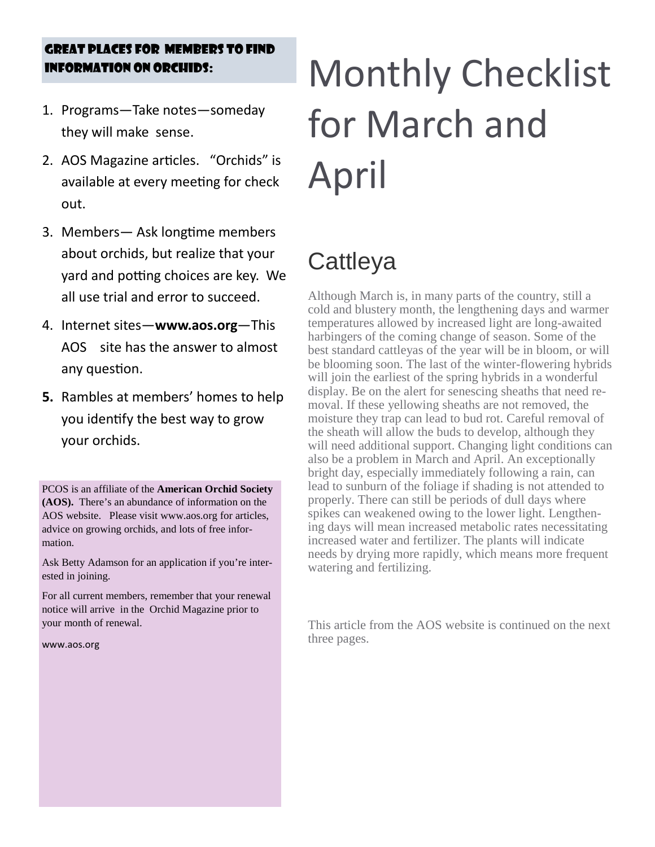# GREAT PLACES FOR MEMBERS TO FIND

- 1. Programs—Take notes—someday they will make sense.
- 2. AOS Magazine articles. "Orchids" is available at every meeting for check out.
- 3. Members— Ask longtime members about orchids, but realize that your yard and potting choices are key. We all use trial and error to succeed.
- 4. Internet sites—**www.aos.org**—This AOS site has the answer to almost any question.
- **5.** Rambles at members' homes to help you identify the best way to grow your orchids.

PCOS is an affiliate of the **American Orchid Society (AOS).** There's an abundance of information on the AOS website. Please visit www.aos.org for articles, advice on growing orchids, and lots of free information.

Ask Betty Adamson for an application if you're interested in joining.

For all current members, remember that your renewal notice will arrive in the Orchid Magazine prior to your month of renewal.

www.aos.org

# INFORMATION ON ORCHIDS: Monthly Checklist for March and April

#### **Cattleya**

Although March is, in many parts of the country, still a cold and blustery month, the lengthening days and warmer temperatures allowed by increased light are long-awaited harbingers of the coming change of season. Some of the best standard cattleyas of the year will be in bloom, or will be blooming soon. The last of the winter-flowering hybrids will join the earliest of the spring hybrids in a wonderful display. Be on the alert for senescing sheaths that need removal. If these yellowing sheaths are not removed, the moisture they trap can lead to bud rot. Careful removal of the sheath will allow the buds to develop, although they will need additional support. Changing light conditions can also be a problem in March and April. An exceptionally bright day, especially immediately following a rain, can lead to sunburn of the foliage if shading is not attended to properly. There can still be periods of dull days where spikes can weakened owing to the lower light. Lengthening days will mean increased metabolic rates necessitating increased water and fertilizer. The plants will indicate needs by drying more rapidly, which means more frequent watering and fertilizing.

This article from the AOS website is continued on the next three pages.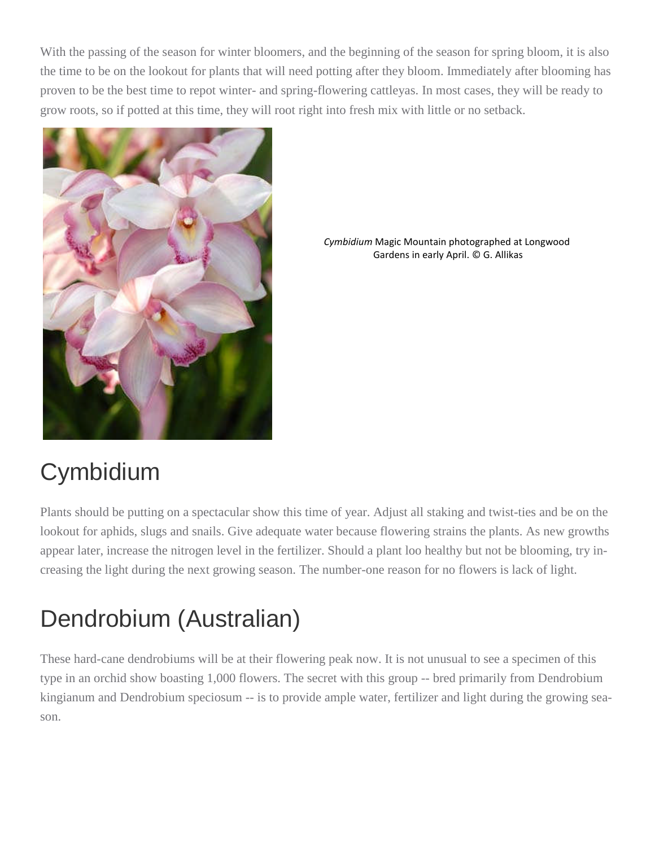With the passing of the season for winter bloomers, and the beginning of the season for spring bloom, it is also the time to be on the lookout for plants that will need potting after they bloom. Immediately after blooming has proven to be the best time to repot winter- and spring-flowering cattleyas. In most cases, they will be ready to grow roots, so if potted at this time, they will root right into fresh mix with little or no setback.



*Cymbidium* Magic Mountain photographed at Longwood Gardens in early April. © G. Allikas

# Cymbidium

Plants should be putting on a spectacular show this time of year. Adjust all staking and twist-ties and be on the lookout for aphids, slugs and snails. Give adequate water because flowering strains the plants. As new growths appear later, increase the nitrogen level in the fertilizer. Should a plant loo healthy but not be blooming, try increasing the light during the next growing season. The number-one reason for no flowers is lack of light.

# Dendrobium (Australian)

These hard-cane dendrobiums will be at their flowering peak now. It is not unusual to see a specimen of this type in an orchid show boasting 1,000 flowers. The secret with this group -- bred primarily from Dendrobium kingianum and Dendrobium speciosum -- is to provide ample water, fertilizer and light during the growing season.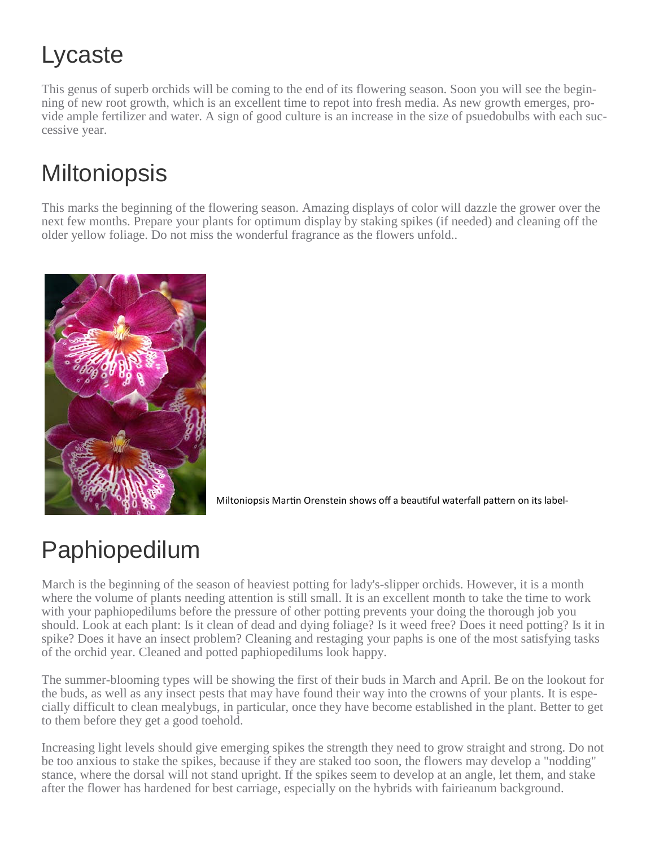# Lycaste

This genus of superb orchids will be coming to the end of its flowering season. Soon you will see the beginning of new root growth, which is an excellent time to repot into fresh media. As new growth emerges, provide ample fertilizer and water. A sign of good culture is an increase in the size of psuedobulbs with each successive year.

#### **Miltoniopsis**

This marks the beginning of the flowering season. Amazing displays of color will dazzle the grower over the next few months. Prepare your plants for optimum display by staking spikes (if needed) and cleaning off the older yellow foliage. Do not miss the wonderful fragrance as the flowers unfold..



Miltoniopsis Martin Orenstein shows off a beautiful waterfall pattern on its label-

# Paphiopedilum

March is the beginning of the season of heaviest potting for lady's-slipper orchids. However, it is a month where the volume of plants needing attention is still small. It is an excellent month to take the time to work with your paphiopedilums before the pressure of other potting prevents your doing the thorough job you should. Look at each plant: Is it clean of dead and dying foliage? Is it weed free? Does it need potting? Is it in spike? Does it have an insect problem? Cleaning and restaging your paphs is one of the most satisfying tasks of the orchid year. Cleaned and potted paphiopedilums look happy.

The summer-blooming types will be showing the first of their buds in March and April. Be on the lookout for the buds, as well as any insect pests that may have found their way into the crowns of your plants. It is especially difficult to clean mealybugs, in particular, once they have become established in the plant. Better to get to them before they get a good toehold.

Increasing light levels should give emerging spikes the strength they need to grow straight and strong. Do not be too anxious to stake the spikes, because if they are staked too soon, the flowers may develop a "nodding" stance, where the dorsal will not stand upright. If the spikes seem to develop at an angle, let them, and stake after the flower has hardened for best carriage, especially on the hybrids with fairieanum background.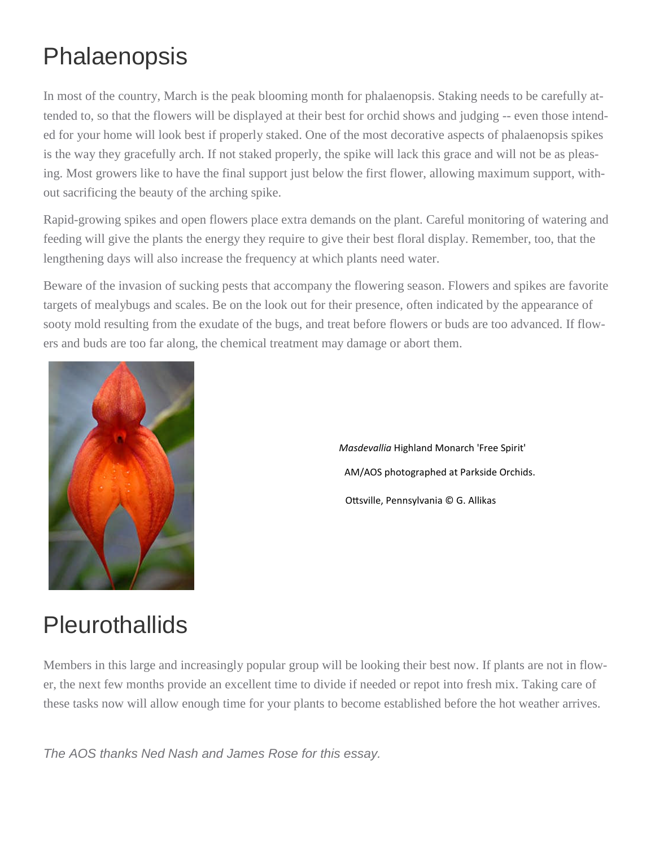#### Phalaenopsis

In most of the country, March is the peak blooming month for phalaenopsis. Staking needs to be carefully attended to, so that the flowers will be displayed at their best for orchid shows and judging -- even those intended for your home will look best if properly staked. One of the most decorative aspects of phalaenopsis spikes is the way they gracefully arch. If not staked properly, the spike will lack this grace and will not be as pleasing. Most growers like to have the final support just below the first flower, allowing maximum support, without sacrificing the beauty of the arching spike.

Rapid-growing spikes and open flowers place extra demands on the plant. Careful monitoring of watering and feeding will give the plants the energy they require to give their best floral display. Remember, too, that the lengthening days will also increase the frequency at which plants need water.

Beware of the invasion of sucking pests that accompany the flowering season. Flowers and spikes are favorite targets of mealybugs and scales. Be on the look out for their presence, often indicated by the appearance of sooty mold resulting from the exudate of the bugs, and treat before flowers or buds are too advanced. If flowers and buds are too far along, the chemical treatment may damage or abort them.



*Masdevallia* Highland Monarch 'Free Spirit' AM/AOS photographed at Parkside Orchids. Ottsville, Pennsylvania © G. Allikas

#### **Pleurothallids**

Members in this large and increasingly popular group will be looking their best now. If plants are not in flower, the next few months provide an excellent time to divide if needed or repot into fresh mix. Taking care of these tasks now will allow enough time for your plants to become established before the hot weather arrives.

*The AOS thanks Ned Nash and James Rose for this essay.*